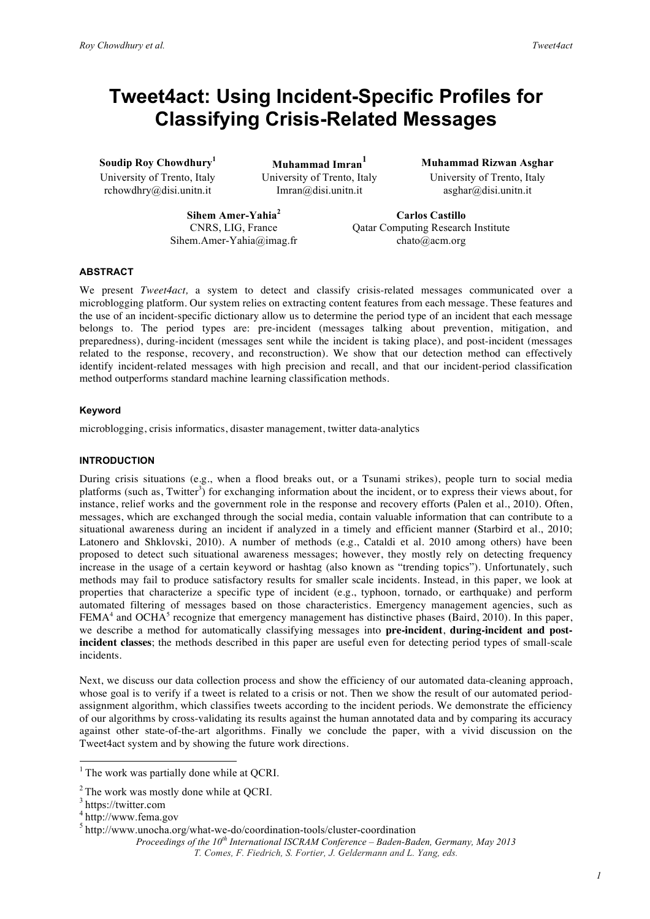# **Tweet4act: Using Incident-Specific Profiles for Classifying Crisis-Related Messages**

**Soudip Roy Chowdhury<sup>1</sup>**

**Muhammad Imran<sup>1</sup> Muhammad Rizwan Asghar** rchowdhry@disi.unitn.it Imran@disi.unitn.it asghar@disi.unitn.it

University of Trento, Italy University of Trento, Italy University of Trento, Italy

**Sihem Amer-Yahia<sup>2</sup> <b>Carlos Castillo**<br>
CNRS, LIG, France Qatar Computing Research Sihem.Amer-Yahia@imag.fr chato@acm.org

Qatar Computing Research Institute

# **ABSTRACT**

We present *Tweet4act,* a system to detect and classify crisis-related messages communicated over a microblogging platform. Our system relies on extracting content features from each message. These features and the use of an incident-specific dictionary allow us to determine the period type of an incident that each message belongs to. The period types are: pre-incident (messages talking about prevention, mitigation, and preparedness), during-incident (messages sent while the incident is taking place), and post-incident (messages related to the response, recovery, and reconstruction). We show that our detection method can effectively identify incident-related messages with high precision and recall, and that our incident-period classification method outperforms standard machine learning classification methods.

## **Keyword**

microblogging, crisis informatics, disaster management, twitter data-analytics

### **INTRODUCTION**

During crisis situations (e.g., when a flood breaks out, or a Tsunami strikes), people turn to social media platforms (such as, Twitter<sup>3</sup>) for exchanging information about the incident, or to express their views about, for instance, relief works and the government role in the response and recovery efforts **(**Palen et al., 2010). Often, messages, which are exchanged through the social media, contain valuable information that can contribute to a situational awareness during an incident if analyzed in a timely and efficient manner **(**Starbird et al., 2010; Latonero and Shklovski, 2010). A number of methods (e.g., Cataldi et al. 2010 among others) have been proposed to detect such situational awareness messages; however, they mostly rely on detecting frequency increase in the usage of a certain keyword or hashtag (also known as "trending topics"). Unfortunately, such methods may fail to produce satisfactory results for smaller scale incidents. Instead, in this paper, we look at properties that characterize a specific type of incident (e.g., typhoon, tornado, or earthquake) and perform automated filtering of messages based on those characteristics. Emergency management agencies, such as FEMA<sup>4</sup> and OCHA<sup>5</sup> recognize that emergency management has distinctive phases **(**Baird, 2010). In this paper, we describe a method for automatically classifying messages into **pre-incident**, **during-incident and postincident classes**; the methods described in this paper are useful even for detecting period types of small-scale incidents.

Next, we discuss our data collection process and show the efficiency of our automated data-cleaning approach, whose goal is to verify if a tweet is related to a crisis or not. Then we show the result of our automated periodassignment algorithm, which classifies tweets according to the incident periods. We demonstrate the efficiency of our algorithms by cross-validating its results against the human annotated data and by comparing its accuracy against other state-of-the-art algorithms. Finally we conclude the paper, with a vivid discussion on the Tweet4act system and by showing the future work directions.

 $<sup>1</sup>$  The work was partially done while at QCRI.</sup>

 $2^2$ The work was mostly done while at QCRI.<br> $3^3$  https://twitter.com

<sup>4</sup> http://www.fema.gov

<sup>5</sup> http://www.unocha.org/what-we-do/coordination-tools/cluster-coordination

*Proceedings of the 10th International ISCRAM Conference – Baden-Baden, Germany, May 2013 T. Comes, F. Fiedrich, S. Fortier, J. Geldermann and L. Yang, eds.*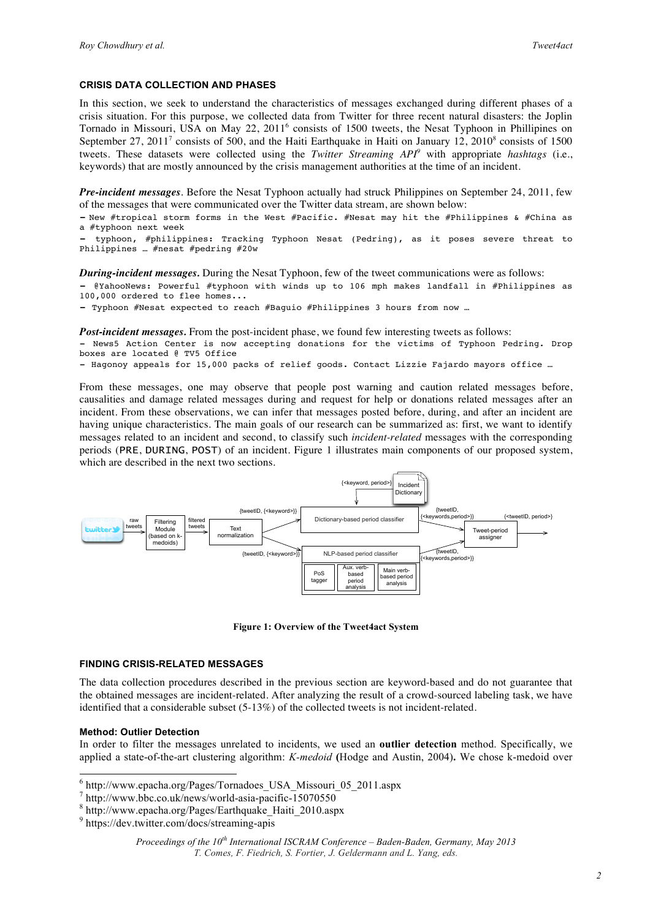#### **CRISIS DATA COLLECTION AND PHASES**

In this section, we seek to understand the characteristics of messages exchanged during different phases of a crisis situation. For this purpose, we collected data from Twitter for three recent natural disasters: the Joplin Tornado in Missouri, USA on May 22, 2011<sup>6</sup> consists of 1500 tweets, the Nesat Typhoon in Phillipines on September 27, 2011<sup>7</sup> consists of 500, and the Haiti Earthquake in Haiti on January 12, 2010<sup>8</sup> consists of 1500 tweets. These datasets were collected using the *Twitter Streaming API9* with appropriate *hashtags* (i.e., keywords) that are mostly announced by the crisis management authorities at the time of an incident.

*Pre-incident messages*. Before the Nesat Typhoon actually had struck Philippines on September 24, 2011, few of the messages that were communicated over the Twitter data stream, are shown below:

- New #tropical storm forms in the West #Pacific. #Nesat may hit the #Philippines & #China as a #typhoon next week

typhoon, #philippines: Tracking Typhoon Nesat (Pedring), as it poses severe threat to Philippines … #nesat #pedring #20w

*During-incident messages.* During the Nesat Typhoon, few of the tweet communications were as follows:

- @YahooNews: Powerful #typhoon with winds up to 106 mph makes landfall in #Philippines as 100,000 ordered to flee homes...

- Typhoon #Nesat expected to reach #Baguio #Philippines 3 hours from now …

*Post-incident messages.* From the post-incident phase, we found few interesting tweets as follows:

- News5 Action Center is now accepting donations for the victims of Typhoon Pedring. Drop boxes are located @ TV5 Office

- Hagonoy appeals for 15,000 packs of relief goods. Contact Lizzie Fajardo mayors office …

From these messages, one may observe that people post warning and caution related messages before, causalities and damage related messages during and request for help or donations related messages after an incident. From these observations, we can infer that messages posted before, during, and after an incident are having unique characteristics. The main goals of our research can be summarized as: first, we want to identify messages related to an incident and second, to classify such *incident-related* messages with the corresponding periods (PRE, DURING, POST) of an incident. Figure 1 illustrates main components of our proposed system, which are described in the next two sections.



**Figure 1: Overview of the Tweet4act System**

### **FINDING CRISIS-RELATED MESSAGES**

The data collection procedures described in the previous section are keyword-based and do not guarantee that the obtained messages are incident-related. After analyzing the result of a crowd-sourced labeling task, we have identified that a considerable subset (5-13%) of the collected tweets is not incident-related.

#### **Method: Outlier Detection**

In order to filter the messages unrelated to incidents, we used an **outlier detection** method. Specifically, we applied a state-of-the-art clustering algorithm: *K-medoid* **(**Hodge and Austin, 2004)**.** We chose k-medoid over

 <sup>6</sup> http://www.epacha.org/Pages/Tornadoes\_USA\_Missouri\_05\_2011.aspx

 $^7$  http://www.bbc.co.uk/news/world-asia-pacific-15070550  $^8$  http://www.epacha.org/Pages/Earthquake\_Haiti\_2010.aspx  $^9$  https://dev.twitter.com/docs/streaming-apis

*Proceedings of the 10th International ISCRAM Conference – Baden-Baden, Germany, May 2013 T. Comes, F. Fiedrich, S. Fortier, J. Geldermann and L. Yang, eds.*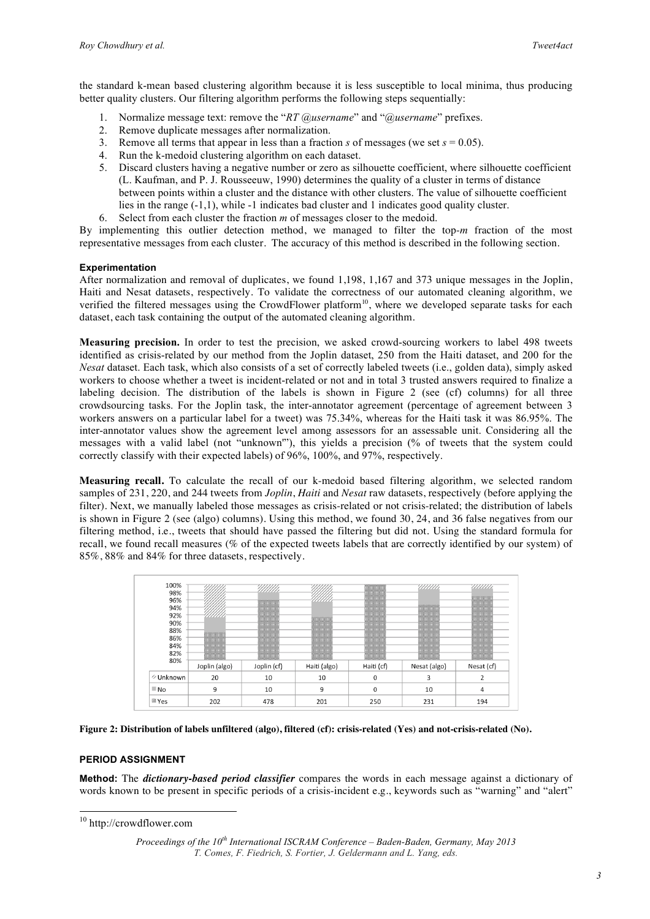the standard k-mean based clustering algorithm because it is less susceptible to local minima, thus producing better quality clusters. Our filtering algorithm performs the following steps sequentially:

- 1. Normalize message text: remove the "*RT @username*" and "*@username*" prefixes.
- 2. Remove duplicate messages after normalization.
- 3. Remove all terms that appear in less than a fraction *s* of messages (we set  $s = 0.05$ ).
- 4. Run the k-medoid clustering algorithm on each dataset.
- 5. Discard clusters having a negative number or zero as silhouette coefficient, where silhouette coefficient (L. Kaufman, and P. J. Rousseeuw, 1990) determines the quality of a cluster in terms of distance between points within a cluster and the distance with other clusters. The value of silhouette coefficient lies in the range (-1,1), while -1 indicates bad cluster and 1 indicates good quality cluster.
- 6. Select from each cluster the fraction *m* of messages closer to the medoid.

By implementing this outlier detection method, we managed to filter the top-*m* fraction of the most representative messages from each cluster. The accuracy of this method is described in the following section.

# **Experimentation**

After normalization and removal of duplicates, we found 1,198, 1,167 and 373 unique messages in the Joplin, Haiti and Nesat datasets, respectively. To validate the correctness of our automated cleaning algorithm, we verified the filtered messages using the CrowdFlower platform<sup>10</sup>, where we developed separate tasks for each dataset, each task containing the output of the automated cleaning algorithm.

**Measuring precision.** In order to test the precision, we asked crowd-sourcing workers to label 498 tweets identified as crisis-related by our method from the Joplin dataset, 250 from the Haiti dataset, and 200 for the *Nesat* dataset. Each task, which also consists of a set of correctly labeled tweets (i.e., golden data), simply asked workers to choose whether a tweet is incident-related or not and in total 3 trusted answers required to finalize a labeling decision. The distribution of the labels is shown in Figure 2 (see (cf) columns) for all three crowdsourcing tasks. For the Joplin task, the inter-annotator agreement (percentage of agreement between 3 workers answers on a particular label for a tweet) was 75.34%, whereas for the Haiti task it was 86.95%. The inter-annotator values show the agreement level among assessors for an assessable unit. Considering all the messages with a valid label (not "unknown'"), this yields a precision (% of tweets that the system could correctly classify with their expected labels) of 96%, 100%, and 97%, respectively.

**Measuring recall.** To calculate the recall of our k-medoid based filtering algorithm, we selected random samples of 231, 220, and 244 tweets from *Joplin*, *Haiti* and *Nesat* raw datasets, respectively (before applying the filter). Next, we manually labeled those messages as crisis-related or not crisis-related; the distribution of labels is shown in Figure 2 (see (algo) columns). Using this method, we found 30, 24, and 36 false negatives from our filtering method, i.e., tweets that should have passed the filtering but did not. Using the standard formula for recall, we found recall measures (% of the expected tweets labels that are correctly identified by our system) of 85%, 88% and 84% for three datasets, respectively.



**Figure 2: Distribution of labels unfiltered (algo), filtered (cf): crisis-related (Yes) and not-crisis-related (No).**

# **PERIOD ASSIGNMENT**

**Method:** The *dictionary-based period classifier* compares the words in each message against a dictionary of words known to be present in specific periods of a crisis-incident e.g., keywords such as "warning" and "alert"

 <sup>10</sup> http://crowdflower.com

*Proceedings of the 10th International ISCRAM Conference – Baden-Baden, Germany, May 2013 T. Comes, F. Fiedrich, S. Fortier, J. Geldermann and L. Yang, eds.*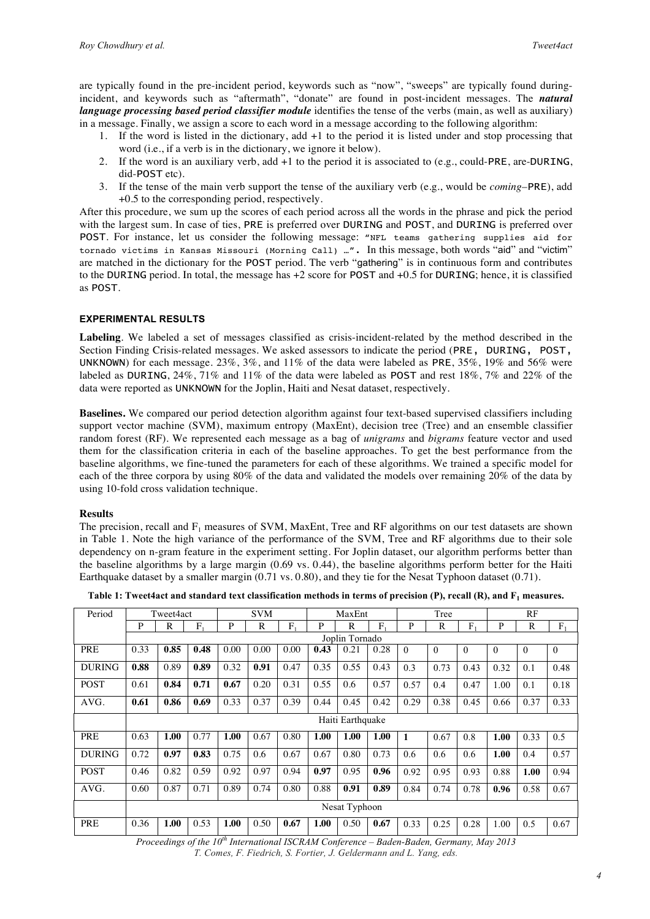are typically found in the pre-incident period, keywords such as "now", "sweeps" are typically found duringincident, and keywords such as "aftermath", "donate" are found in post-incident messages. The *natural language processing based period classifier module* identifies the tense of the verbs (main, as well as auxiliary) in a message. Finally, we assign a score to each word in a message according to the following algorithm:

- 1. If the word is listed in the dictionary, add +1 to the period it is listed under and stop processing that word (i.e., if a verb is in the dictionary, we ignore it below).
- 2. If the word is an auxiliary verb, add +1 to the period it is associated to (e.g., could-PRE, are-DURING, did-POST etc).
- 3. If the tense of the main verb support the tense of the auxiliary verb (e.g., would be *coming*–PRE), add +0.5 to the corresponding period, respectively.

After this procedure, we sum up the scores of each period across all the words in the phrase and pick the period with the largest sum. In case of ties, PRE is preferred over DURING and POST, and DURING is preferred over POST. For instance, let us consider the following message: "NFL teams gathering supplies aid for tornado victims in Kansas Missouri (Morning Call) …". In this message, both words "aid" and "victim" are matched in the dictionary for the POST period. The verb "gathering" is in continuous form and contributes to the DURING period. In total, the message has +2 score for POST and +0.5 for DURING; hence, it is classified as POST.

# **EXPERIMENTAL RESULTS**

**Labeling**. We labeled a set of messages classified as crisis-incident-related by the method described in the Section Finding Crisis-related messages*.* We asked assessors to indicate the period (PRE, DURING, POST, UNKNOWN) for each message. 23%, 3%, and 11% of the data were labeled as PRE, 35%, 19% and 56% were labeled as DURING, 24%, 71% and 11% of the data were labeled as POST and rest 18%, 7% and 22% of the data were reported as UNKNOWN for the Joplin, Haiti and Nesat dataset, respectively.

**Baselines.** We compared our period detection algorithm against four text-based supervised classifiers including support vector machine (SVM), maximum entropy (MaxEnt), decision tree (Tree) and an ensemble classifier random forest (RF). We represented each message as a bag of *unigrams* and *bigrams* feature vector and used them for the classification criteria in each of the baseline approaches. To get the best performance from the baseline algorithms, we fine-tuned the parameters for each of these algorithms. We trained a specific model for each of the three corpora by using 80% of the data and validated the models over remaining 20% of the data by using 10-fold cross validation technique.

# **Results**

The precision, recall and  $F_1$  measures of SVM, MaxEnt, Tree and RF algorithms on our test datasets are shown in Table 1. Note the high variance of the performance of the SVM, Tree and RF algorithms due to their sole dependency on n-gram feature in the experiment setting. For Joplin dataset, our algorithm performs better than the baseline algorithms by a large margin (0.69 vs. 0.44), the baseline algorithms perform better for the Haiti Earthquake dataset by a smaller margin (0.71 vs. 0.80), and they tie for the Nesat Typhoon dataset (0.71).

| Period        | Tweet4act                   |      |      | <b>SVM</b> |             |      | MaxEnt |      |      | Tree     |          |                | RF       |          |          |
|---------------|-----------------------------|------|------|------------|-------------|------|--------|------|------|----------|----------|----------------|----------|----------|----------|
|               | P                           | R    | F.   | P          | $\mathbf R$ | F,   | P      | R    | F,   | P        | R        | F <sub>1</sub> | P        | R        | $F_1$    |
|               | Joplin Tornado              |      |      |            |             |      |        |      |      |          |          |                |          |          |          |
| <b>PRE</b>    | 0.33                        | 0.85 | 0.48 | 0.00       | 0.00        | 0.00 | 0.43   | 0.21 | 0.28 | $\theta$ | $\theta$ | $\mathbf{0}$   | $\theta$ | $\theta$ | $\Omega$ |
| <b>DURING</b> | 0.88                        | 0.89 | 0.89 | 0.32       | 0.91        | 0.47 | 0.35   | 0.55 | 0.43 | 0.3      | 0.73     | 0.43           | 0.32     | 0.1      | 0.48     |
| <b>POST</b>   | 0.61                        | 0.84 | 0.71 | 0.67       | 0.20        | 0.31 | 0.55   | 0.6  | 0.57 | 0.57     | 0.4      | 0.47           | 1.00     | 0.1      | 0.18     |
| AVG.          | 0.61                        | 0.86 | 0.69 | 0.33       | 0.37        | 0.39 | 0.44   | 0.45 | 0.42 | 0.29     | 0.38     | 0.45           | 0.66     | 0.37     | 0.33     |
|               | Haiti Earthquake            |      |      |            |             |      |        |      |      |          |          |                |          |          |          |
| <b>PRE</b>    | 0.63                        | 1.00 | 0.77 | 1.00       | 0.67        | 0.80 | 1.00   | 1.00 | 1.00 | 1        | 0.67     | 0.8            | 1.00     | 0.33     | 0.5      |
| <b>DURING</b> | 0.72                        | 0.97 | 0.83 | 0.75       | 0.6         | 0.67 | 0.67   | 0.80 | 0.73 | 0.6      | 0.6      | 0.6            | 1.00     | 0.4      | 0.57     |
| <b>POST</b>   | 0.46                        | 0.82 | 0.59 | 0.92       | 0.97        | 0.94 | 0.97   | 0.95 | 0.96 | 0.92     | 0.95     | 0.93           | 0.88     | 1.00     | 0.94     |
| AVG.          | 0.60                        | 0.87 | 0.71 | 0.89       | 0.74        | 0.80 | 0.88   | 0.91 | 0.89 | 0.84     | 0.74     | 0.78           | 0.96     | 0.58     | 0.67     |
|               | Nesat Typhoon               |      |      |            |             |      |        |      |      |          |          |                |          |          |          |
| PRE           | 0.36                        | 1.00 | 0.53 | 1.00       | 0.50        | 0.67 | 1.00   | 0.50 | 0.67 | 0.33     | 0.25     | 0.28           | 1.00     | 0.5      | 0.67     |
|               | $ -th$ $-$<br>$\sim$ $\sim$ |      |      |            |             |      |        |      |      |          |          |                |          |          |          |

**Table 1: Tweet4act and standard text classification methods in terms of precision (P), recall (R), and F1 measures.**

*Proceedings of the 10th International ISCRAM Conference – Baden-Baden, Germany, May 2013 T. Comes, F. Fiedrich, S. Fortier, J. Geldermann and L. Yang, eds.*